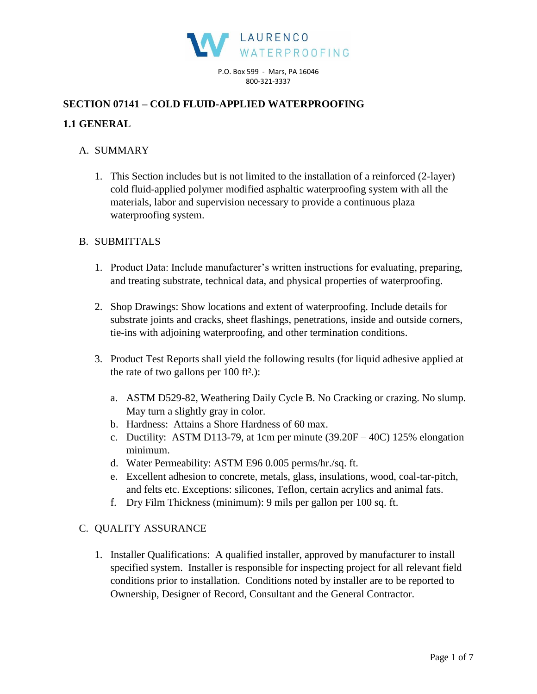

P.O. Box 599 - Mars, PA 16046 800-321-3337

## **SECTION 07141 – COLD FLUID-APPLIED WATERPROOFING**

### **1.1 GENERAL**

### A. SUMMARY

1. This Section includes but is not limited to the installation of a reinforced (2-layer) cold fluid-applied polymer modified asphaltic waterproofing system with all the materials, labor and supervision necessary to provide a continuous plaza waterproofing system.

## B. SUBMITTALS

- 1. Product Data: Include manufacturer's written instructions for evaluating, preparing, and treating substrate, technical data, and physical properties of waterproofing.
- 2. Shop Drawings: Show locations and extent of waterproofing. Include details for substrate joints and cracks, sheet flashings, penetrations, inside and outside corners, tie-ins with adjoining waterproofing, and other termination conditions.
- 3. Product Test Reports shall yield the following results (for liquid adhesive applied at the rate of two gallons per  $100$  ft<sup>2</sup>.):
	- a. ASTM D529-82, Weathering Daily Cycle B. No Cracking or crazing. No slump. May turn a slightly gray in color.
	- b. Hardness: Attains a Shore Hardness of 60 max.
	- c. Ductility: ASTM D113-79, at 1cm per minute (39.20F 40C) 125% elongation minimum.
	- d. Water Permeability: ASTM E96 0.005 perms/hr./sq. ft.
	- e. Excellent adhesion to concrete, metals, glass, insulations, wood, coal-tar-pitch, and felts etc. Exceptions: silicones, Teflon, certain acrylics and animal fats.
	- f. Dry Film Thickness (minimum): 9 mils per gallon per 100 sq. ft.

# C. QUALITY ASSURANCE

1. Installer Qualifications: A qualified installer, approved by manufacturer to install specified system. Installer is responsible for inspecting project for all relevant field conditions prior to installation. Conditions noted by installer are to be reported to Ownership, Designer of Record, Consultant and the General Contractor.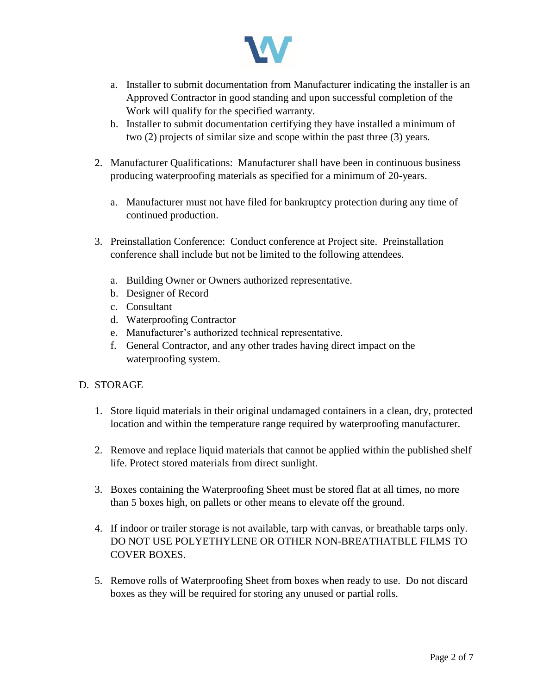

- a. Installer to submit documentation from Manufacturer indicating the installer is an Approved Contractor in good standing and upon successful completion of the Work will qualify for the specified warranty.
- b. Installer to submit documentation certifying they have installed a minimum of two (2) projects of similar size and scope within the past three (3) years.
- 2. Manufacturer Qualifications: Manufacturer shall have been in continuous business producing waterproofing materials as specified for a minimum of 20-years.
	- a. Manufacturer must not have filed for bankruptcy protection during any time of continued production.
- 3. Preinstallation Conference: Conduct conference at Project site. Preinstallation conference shall include but not be limited to the following attendees.
	- a. Building Owner or Owners authorized representative.
	- b. Designer of Record
	- c. Consultant
	- d. Waterproofing Contractor
	- e. Manufacturer's authorized technical representative.
	- f. General Contractor, and any other trades having direct impact on the waterproofing system.

#### D. STORAGE

- 1. Store liquid materials in their original undamaged containers in a clean, dry, protected location and within the temperature range required by waterproofing manufacturer.
- 2. Remove and replace liquid materials that cannot be applied within the published shelf life. Protect stored materials from direct sunlight.
- 3. Boxes containing the Waterproofing Sheet must be stored flat at all times, no more than 5 boxes high, on pallets or other means to elevate off the ground.
- 4. If indoor or trailer storage is not available, tarp with canvas, or breathable tarps only. DO NOT USE POLYETHYLENE OR OTHER NON-BREATHATBLE FILMS TO COVER BOXES.
- 5. Remove rolls of Waterproofing Sheet from boxes when ready to use. Do not discard boxes as they will be required for storing any unused or partial rolls.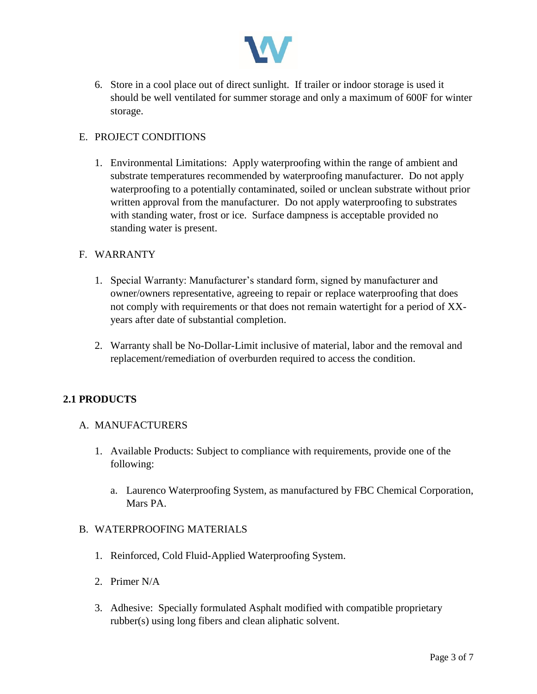

6. Store in a cool place out of direct sunlight. If trailer or indoor storage is used it should be well ventilated for summer storage and only a maximum of 600F for winter storage.

## E. PROJECT CONDITIONS

1. Environmental Limitations: Apply waterproofing within the range of ambient and substrate temperatures recommended by waterproofing manufacturer. Do not apply waterproofing to a potentially contaminated, soiled or unclean substrate without prior written approval from the manufacturer. Do not apply waterproofing to substrates with standing water, frost or ice. Surface dampness is acceptable provided no standing water is present.

#### F. WARRANTY

- 1. Special Warranty: Manufacturer's standard form, signed by manufacturer and owner/owners representative, agreeing to repair or replace waterproofing that does not comply with requirements or that does not remain watertight for a period of XXyears after date of substantial completion.
- 2. Warranty shall be No-Dollar-Limit inclusive of material, labor and the removal and replacement/remediation of overburden required to access the condition.

# **2.1 PRODUCTS**

#### A. MANUFACTURERS

- 1. Available Products: Subject to compliance with requirements, provide one of the following:
	- a. Laurenco Waterproofing System, as manufactured by FBC Chemical Corporation, Mars PA.

#### B. WATERPROOFING MATERIALS

- 1. Reinforced, Cold Fluid-Applied Waterproofing System.
- 2. Primer N/A
- 3. Adhesive: Specially formulated Asphalt modified with compatible proprietary rubber(s) using long fibers and clean aliphatic solvent.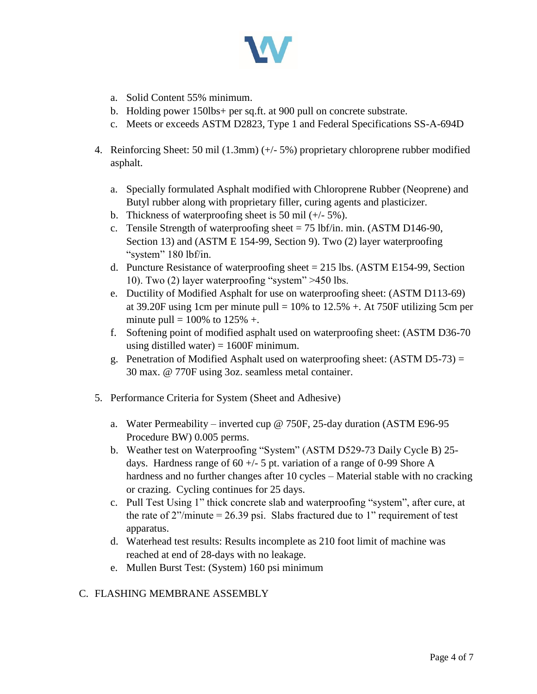

- a. Solid Content 55% minimum.
- b. Holding power 150lbs+ per sq.ft. at 900 pull on concrete substrate.
- c. Meets or exceeds ASTM D2823, Type 1 and Federal Specifications SS-A-694D
- 4. Reinforcing Sheet: 50 mil (1.3mm) (+/- 5%) proprietary chloroprene rubber modified asphalt.
	- a. Specially formulated Asphalt modified with Chloroprene Rubber (Neoprene) and Butyl rubber along with proprietary filler, curing agents and plasticizer.
	- b. Thickness of waterproofing sheet is 50 mil (+/- 5%).
	- c. Tensile Strength of waterproofing sheet  $= 75$  lbf/in. min. (ASTM D146-90, Section 13) and (ASTM E 154-99, Section 9). Two (2) layer waterproofing "system" 180 lbf/in.
	- d. Puncture Resistance of waterproofing sheet  $= 215$  lbs. (ASTM E154-99, Section 10). Two (2) layer waterproofing "system" >450 lbs.
	- e. Ductility of Modified Asphalt for use on waterproofing sheet: (ASTM D113-69) at 39.20F using 1cm per minute pull  $= 10\%$  to 12.5% +. At 750F utilizing 5cm per minute pull =  $100\%$  to  $125\%$  +.
	- f. Softening point of modified asphalt used on waterproofing sheet: (ASTM D36-70 using distilled water)  $= 1600F$  minimum.
	- g. Penetration of Modified Asphalt used on waterproofing sheet: (ASTM D5-73) = 30 max. @ 770F using 3oz. seamless metal container.
- 5. Performance Criteria for System (Sheet and Adhesive)
	- a. Water Permeability inverted cup @ 750F, 25-day duration (ASTM E96-95 Procedure BW) 0.005 perms.
	- b. Weather test on Waterproofing "System" (ASTM D529-73 Daily Cycle B) 25 days. Hardness range of  $60 +/- 5$  pt. variation of a range of 0-99 Shore A hardness and no further changes after 10 cycles – Material stable with no cracking or crazing. Cycling continues for 25 days.
	- c. Pull Test Using 1" thick concrete slab and waterproofing "system", after cure, at the rate of  $2$ "/minute = 26.39 psi. Slabs fractured due to 1" requirement of test apparatus.
	- d. Waterhead test results: Results incomplete as 210 foot limit of machine was reached at end of 28-days with no leakage.
	- e. Mullen Burst Test: (System) 160 psi minimum

# C. FLASHING MEMBRANE ASSEMBLY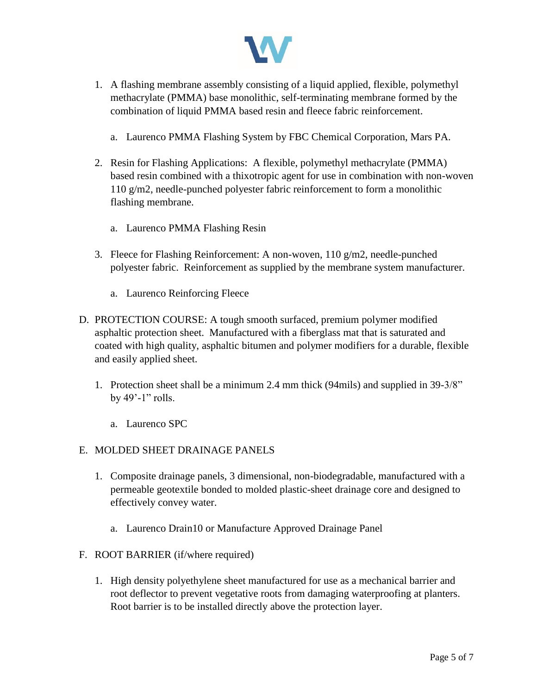

- 1. A flashing membrane assembly consisting of a liquid applied, flexible, polymethyl methacrylate (PMMA) base monolithic, self-terminating membrane formed by the combination of liquid PMMA based resin and fleece fabric reinforcement.
	- a. Laurenco PMMA Flashing System by FBC Chemical Corporation, Mars PA.
- 2. Resin for Flashing Applications: A flexible, polymethyl methacrylate (PMMA) based resin combined with a thixotropic agent for use in combination with non-woven 110 g/m2, needle-punched polyester fabric reinforcement to form a monolithic flashing membrane.
	- a. Laurenco PMMA Flashing Resin
- 3. Fleece for Flashing Reinforcement: A non-woven,  $110 \text{ g/m}$ , needle-punched polyester fabric. Reinforcement as supplied by the membrane system manufacturer.
	- a. Laurenco Reinforcing Fleece
- D. PROTECTION COURSE: A tough smooth surfaced, premium polymer modified asphaltic protection sheet. Manufactured with a fiberglass mat that is saturated and coated with high quality, asphaltic bitumen and polymer modifiers for a durable, flexible and easily applied sheet.
	- 1. Protection sheet shall be a minimum 2.4 mm thick (94mils) and supplied in 39-3/8" by 49'-1" rolls.
		- a. Laurenco SPC

# E. MOLDED SHEET DRAINAGE PANELS

- 1. Composite drainage panels, 3 dimensional, non-biodegradable, manufactured with a permeable geotextile bonded to molded plastic-sheet drainage core and designed to effectively convey water.
	- a. Laurenco Drain10 or Manufacture Approved Drainage Panel

#### F. ROOT BARRIER (if/where required)

1. High density polyethylene sheet manufactured for use as a mechanical barrier and root deflector to prevent vegetative roots from damaging waterproofing at planters. Root barrier is to be installed directly above the protection layer.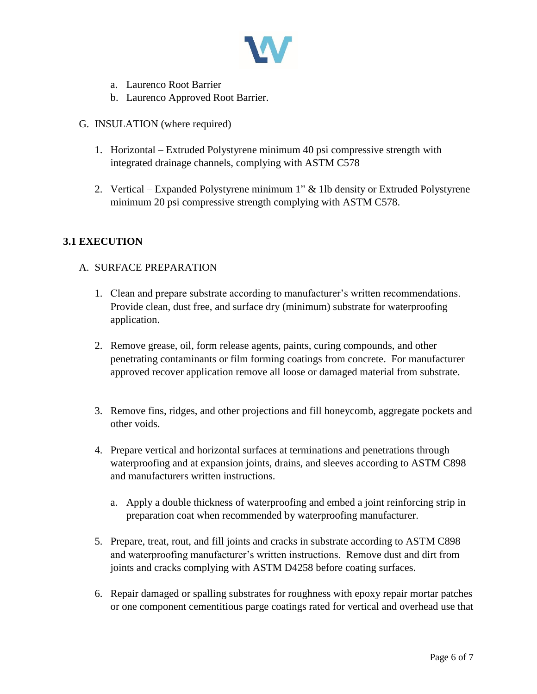

- a. Laurenco Root Barrier
- b. Laurenco Approved Root Barrier.
- G. INSULATION (where required)
	- 1. Horizontal Extruded Polystyrene minimum 40 psi compressive strength with integrated drainage channels, complying with ASTM C578
	- 2. Vertical Expanded Polystyrene minimum 1" & 1lb density or Extruded Polystyrene minimum 20 psi compressive strength complying with ASTM C578.

## **3.1 EXECUTION**

## A. SURFACE PREPARATION

- 1. Clean and prepare substrate according to manufacturer's written recommendations. Provide clean, dust free, and surface dry (minimum) substrate for waterproofing application.
- 2. Remove grease, oil, form release agents, paints, curing compounds, and other penetrating contaminants or film forming coatings from concrete. For manufacturer approved recover application remove all loose or damaged material from substrate.
- 3. Remove fins, ridges, and other projections and fill honeycomb, aggregate pockets and other voids.
- 4. Prepare vertical and horizontal surfaces at terminations and penetrations through waterproofing and at expansion joints, drains, and sleeves according to ASTM C898 and manufacturers written instructions.
	- a. Apply a double thickness of waterproofing and embed a joint reinforcing strip in preparation coat when recommended by waterproofing manufacturer.
- 5. Prepare, treat, rout, and fill joints and cracks in substrate according to ASTM C898 and waterproofing manufacturer's written instructions. Remove dust and dirt from joints and cracks complying with ASTM D4258 before coating surfaces.
- 6. Repair damaged or spalling substrates for roughness with epoxy repair mortar patches or one component cementitious parge coatings rated for vertical and overhead use that